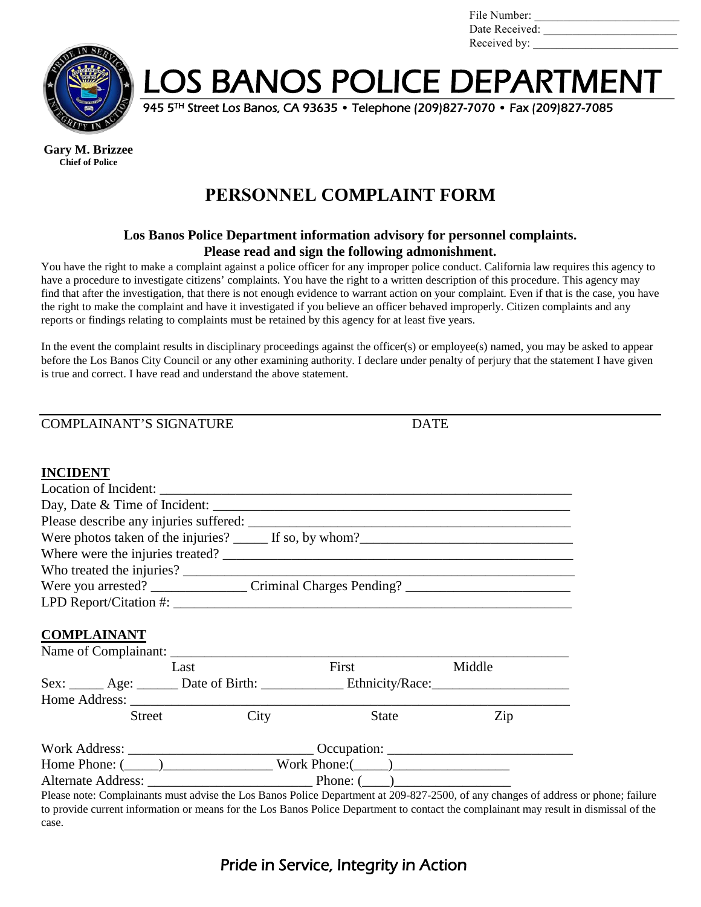| File Number:   |  |
|----------------|--|
| Date Received: |  |
| Received by:   |  |



LOS BANOS POLICE DEPARTMENT

945 5TH Street Los Banos, CA 93635 • Telephone (209)827-7070 • Fax (209)827-7085

**Gary M. Brizzee Chief of Police**

# **PERSONNEL COMPLAINT FORM**

#### **Los Banos Police Department information advisory for personnel complaints. Please read and sign the following admonishment.**

You have the right to make a complaint against a police officer for any improper police conduct. California law requires this agency to have a procedure to investigate citizens' complaints. You have the right to a written description of this procedure. This agency may find that after the investigation, that there is not enough evidence to warrant action on your complaint. Even if that is the case, you have the right to make the complaint and have it investigated if you believe an officer behaved improperly. Citizen complaints and any reports or findings relating to complaints must be retained by this agency for at least five years.

In the event the complaint results in disciplinary proceedings against the officer(s) or employee(s) named, you may be asked to appear before the Los Banos City Council or any other examining authority. I declare under penalty of perjury that the statement I have given is true and correct. I have read and understand the above statement.

COMPLAINANT'S SIGNATURE DATE

#### **INCIDENT**

| Were photos taken of the injuries? $\qquad \qquad$ If so, by whom?                                   |
|------------------------------------------------------------------------------------------------------|
|                                                                                                      |
|                                                                                                      |
| Were you arrested? _____________________Criminal Charges Pending? __________________________________ |
|                                                                                                      |
|                                                                                                      |

#### **COMPLAINANT**

| Last                                                                                                                                                                                                                                                              |      | First                                           | Middle |
|-------------------------------------------------------------------------------------------------------------------------------------------------------------------------------------------------------------------------------------------------------------------|------|-------------------------------------------------|--------|
|                                                                                                                                                                                                                                                                   |      | Sex: <u>Age: Date of Birth: Ethnicity/Race:</u> |        |
|                                                                                                                                                                                                                                                                   |      |                                                 |        |
| <b>Street</b>                                                                                                                                                                                                                                                     | City | <b>State</b>                                    | Zip    |
| Work Address: New York Address:<br>Occupation: Contract of the Contract of the Contract of the Contract of the Contract of the Contract of the Contract of the Contract of the Contract of the Contract of the Contract of the Contract of the Contract of the Co |      |                                                 |        |
| Home Phone: $(\_\_)$ Work Phone: $(\_\_)$                                                                                                                                                                                                                         |      |                                                 |        |
|                                                                                                                                                                                                                                                                   |      | Alternate Address: Phone: (2012)                |        |

Please note: Complainants must advise the Los Banos Police Department at 209-827-2500, of any changes of address or phone; failure to provide current information or means for the Los Banos Police Department to contact the complainant may result in dismissal of the case.

## Pride in Service, Integrity in Action